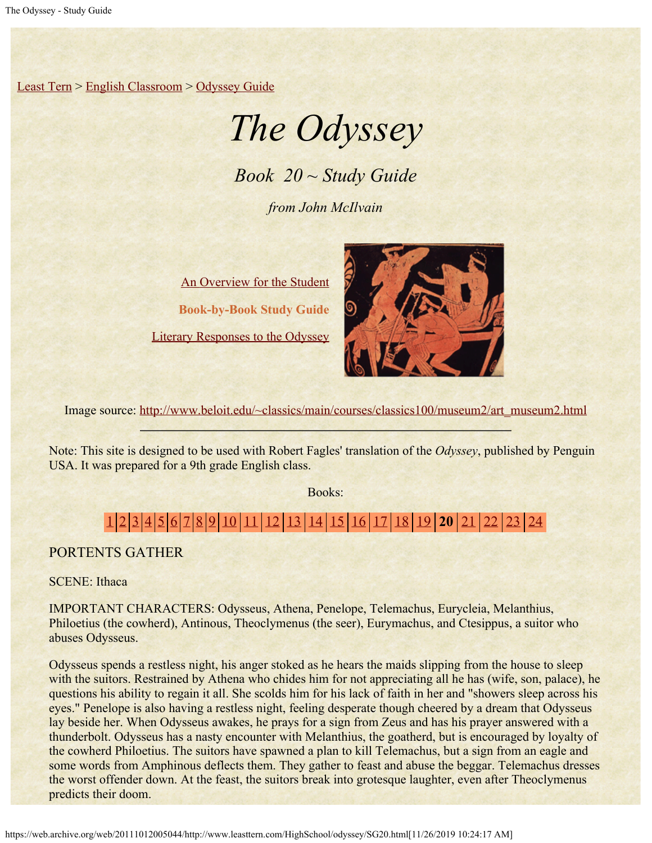[Least Tern](https://web.archive.org/web/20111012005044/http://www.leasttern.com/index.html) > [English Classroom](https://web.archive.org/web/20111012005044/http://www.leasttern.com/Engclass.html) > [Odyssey Guide](https://web.archive.org/web/20111012005044/http://www.leasttern.com/HighSchool/odyssey/Odyssey.html)

# *The Odyssey*

*Book 20 ~ Study Guide*

*from John McIlvain*

[An Overview for the Student](https://web.archive.org/web/20111012005044/http://www.leasttern.com/HighSchool/odyssey/Odyssey1.html) **Book-by-Book Study Guide** [Literary Responses to the Odyssey](https://web.archive.org/web/20111012005044/http://www.leasttern.com/HighSchool/odyssey/Odysseyresponses.html)



Image source: [http://www.beloit.edu/~classics/main/courses/classics100/museum2/art\\_museum2.html](https://web.archive.org/web/20111012005044/http://www.beloit.edu/%7Eclassics/main/courses/classics100/museum2/art_museum2.html)

Note: This site is designed to be used with Robert Fagles' translation of the *Odyssey*, published by Penguin USA. It was prepared for a 9th grade English class.

Books:

# [1](https://web.archive.org/web/20111012005044/http://www.leasttern.com/HighSchool/odyssey/SG1.html) [2](https://web.archive.org/web/20111012005044/http://www.leasttern.com/HighSchool/odyssey/SG2.html) [3](https://web.archive.org/web/20111012005044/http://www.leasttern.com/HighSchool/odyssey/SG3.html) [4](https://web.archive.org/web/20111012005044/http://www.leasttern.com/HighSchool/odyssey/SG4.html) [5](https://web.archive.org/web/20111012005044/http://www.leasttern.com/HighSchool/odyssey/SG5.html) [6](https://web.archive.org/web/20111012005044/http://www.leasttern.com/HighSchool/odyssey/SG6.html) [7](https://web.archive.org/web/20111012005044/http://www.leasttern.com/HighSchool/odyssey/SG7.html) [8](https://web.archive.org/web/20111012005044/http://www.leasttern.com/HighSchool/odyssey/SG8.html) [9](https://web.archive.org/web/20111012005044/http://www.leasttern.com/HighSchool/odyssey/SG9.html) [10](https://web.archive.org/web/20111012005044/http://www.leasttern.com/HighSchool/odyssey/SG10.html) [11](https://web.archive.org/web/20111012005044/http://www.leasttern.com/HighSchool/odyssey/SG11.html) [12](https://web.archive.org/web/20111012005044/http://www.leasttern.com/HighSchool/odyssey/SG12.html) [13](https://web.archive.org/web/20111012005044/http://www.leasttern.com/HighSchool/odyssey/SG13.html) [14](https://web.archive.org/web/20111012005044/http://www.leasttern.com/HighSchool/odyssey/SG14.html) [15](https://web.archive.org/web/20111012005044/http://www.leasttern.com/HighSchool/odyssey/SG15.html) [16](https://web.archive.org/web/20111012005044/http://www.leasttern.com/HighSchool/odyssey/SG16.html) [17](https://web.archive.org/web/20111012005044/http://www.leasttern.com/HighSchool/odyssey/SG17.html) [18](https://web.archive.org/web/20111012005044/http://www.leasttern.com/HighSchool/odyssey/SG18.html) [19](https://web.archive.org/web/20111012005044/http://www.leasttern.com/HighSchool/odyssey/SG19.html) **20** [21](https://web.archive.org/web/20111012005044/http://www.leasttern.com/HighSchool/odyssey/SG21.html) [22](https://web.archive.org/web/20111012005044/http://www.leasttern.com/HighSchool/odyssey/SG22.html) [23](https://web.archive.org/web/20111012005044/http://www.leasttern.com/HighSchool/odyssey/SG23.html) [24](https://web.archive.org/web/20111012005044/http://www.leasttern.com/HighSchool/odyssey/SG24.html)

## PORTENTS GATHER

SCENE: Ithaca

IMPORTANT CHARACTERS: Odysseus, Athena, Penelope, Telemachus, Eurycleia, Melanthius, Philoetius (the cowherd), Antinous, Theoclymenus (the seer), Eurymachus, and Ctesippus, a suitor who abuses Odysseus.

Odysseus spends a restless night, his anger stoked as he hears the maids slipping from the house to sleep with the suitors. Restrained by Athena who chides him for not appreciating all he has (wife, son, palace), he questions his ability to regain it all. She scolds him for his lack of faith in her and "showers sleep across his eyes." Penelope is also having a restless night, feeling desperate though cheered by a dream that Odysseus lay beside her. When Odysseus awakes, he prays for a sign from Zeus and has his prayer answered with a thunderbolt. Odysseus has a nasty encounter with Melanthius, the goatherd, but is encouraged by loyalty of the cowherd Philoetius. The suitors have spawned a plan to kill Telemachus, but a sign from an eagle and some words from Amphinous deflects them. They gather to feast and abuse the beggar. Telemachus dresses the worst offender down. At the feast, the suitors break into grotesque laughter, even after Theoclymenus predicts their doom.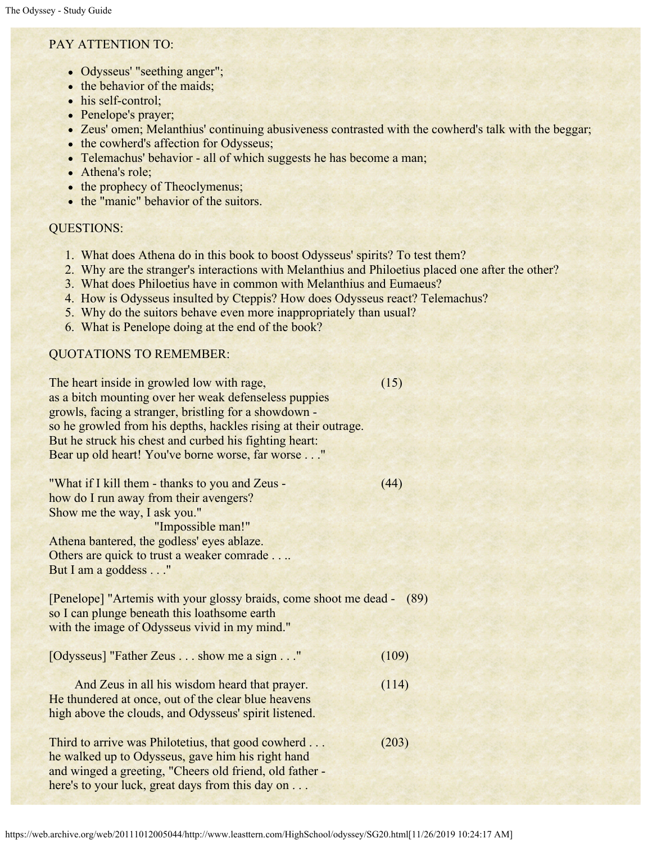### PAY ATTENTION TO:

- Odysseus' "seething anger";
- the behavior of the maids;
- his self-control;
- Penelope's prayer;
- Zeus' omen; Melanthius' continuing abusiveness contrasted with the cowherd's talk with the beggar;
- the cowherd's affection for Odysseus;
- Telemachus' behavior all of which suggests he has become a man;
- Athena's role;
- the prophecy of Theoclymenus;
- the "manic" behavior of the suitors.

#### QUESTIONS:

- 1. What does Athena do in this book to boost Odysseus' spirits? To test them?
- 2. Why are the stranger's interactions with Melanthius and Philoetius placed one after the other?
- 3. What does Philoetius have in common with Melanthius and Eumaeus?
- 4. How is Odysseus insulted by Cteppis? How does Odysseus react? Telemachus?
- 5. Why do the suitors behave even more inappropriately than usual?
- 6. What is Penelope doing at the end of the book?

#### QUOTATIONS TO REMEMBER:

| The heart inside in growled low with rage,<br>as a bitch mounting over her weak defenseless puppies<br>growls, facing a stranger, bristling for a showdown -<br>so he growled from his depths, hackles rising at their outrage.<br>But he struck his chest and curbed his fighting heart:<br>Bear up old heart! You've borne worse, far worse" | (15)  |
|------------------------------------------------------------------------------------------------------------------------------------------------------------------------------------------------------------------------------------------------------------------------------------------------------------------------------------------------|-------|
| "What if I kill them - thanks to you and Zeus -<br>how do I run away from their avengers?<br>Show me the way, I ask you."<br>"Impossible man!"<br>Athena bantered, the godless' eyes ablaze.<br>Others are quick to trust a weaker comrade.<br>But I am a goddess"                                                                             | (44)  |
| [Penelope] "Artemis with your glossy braids, come shoot me dead -<br>so I can plunge beneath this loathsome earth                                                                                                                                                                                                                              | (89)  |
| with the image of Odysseus vivid in my mind."                                                                                                                                                                                                                                                                                                  |       |
| [Odysseus] "Father Zeus show me a sign"                                                                                                                                                                                                                                                                                                        | (109) |
| And Zeus in all his wisdom heard that prayer.<br>He thundered at once, out of the clear blue heavens<br>high above the clouds, and Odysseus' spirit listened.                                                                                                                                                                                  | (114) |